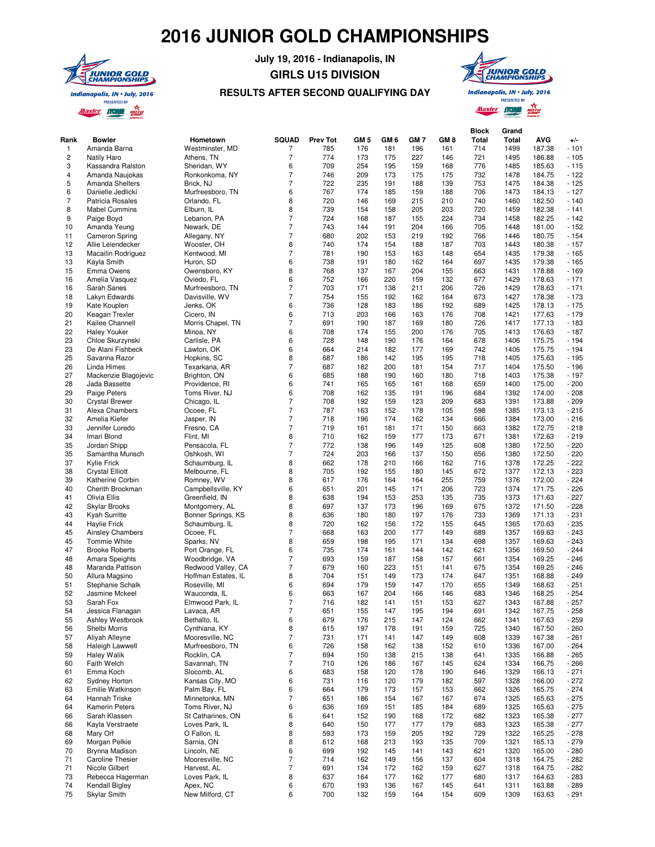## **2016 JUNIOR GOLD CHAMPIONSHIPS**



**July 19, 2016 - Indianapolis, IN GIRLS U15 DIVISION**



## **RESULTS AFTER SECOND QUALIFYING DAY**

**PRESENTED BY Alaster from Rang** 

**Grand** 

**Block** 

| Rank           | <b>Bowler</b>                     | Hometown                    | <b>SQUAD</b>             | <b>Prev Tot</b> | GM <sub>5</sub> | GM <sub>6</sub> | GM <sub>7</sub> | GM 8       | DIUCK<br><b>Total</b> | uranu<br>Total | <b>AVG</b>       | $+/-$            |
|----------------|-----------------------------------|-----------------------------|--------------------------|-----------------|-----------------|-----------------|-----------------|------------|-----------------------|----------------|------------------|------------------|
| $\mathbf{1}$   | Amanda Barna                      | Westminster, MD             | 7                        | 785             | 176             | 181             | 196             | 161        | 714                   | 1499           | 187.38           | $-101$           |
| $\overline{2}$ | <b>Natily Haro</b>                | Athens, TN                  | $\overline{7}$           | 774             | 173             | 175             | 227             | 146        | 721                   | 1495           | 186.88           | $-105$           |
| 3              | Kassandra Ralston                 | Sheridan, WY                | 6                        | 709             | 254             | 195             | 159             | 168        | 776                   | 1485           | 185.63           | $-115$           |
| $\overline{4}$ | Amanda Naujokas                   | Ronkonkoma, NY              | $\overline{7}$           | 746             | 209             | 173             | 175             | 175        | 732                   | 1478           | 184.75           | $-122$           |
| 5              | Amanda Shelters                   | Brick, NJ                   | $\overline{7}$           | 722             | 235             | 191             | 188             | 139        | 753                   | 1475           | 184.38           | $-125$           |
| 6              | Danielle Jedlicki                 | Murfreesboro, TN            | 6                        | 767             | 174             | 185             | 159             | 188        | 706                   | 1473           | 184.13           | $-127$           |
| $\overline{7}$ | Patricia Rosales                  | Orlando, FL                 | 8                        | 720             | 146             | 169             | 215             | 210        | 740                   | 1460           | 182.50           | $-140$           |
| 8              | <b>Mabel Cummins</b>              | Elburn, IL                  | 8                        | 739             | 154             | 158             | 205             | 203        | 720                   | 1459           | 182.38           | $-141$           |
| 9              | Paige Boyd                        | Lebanon, PA                 | $\overline{7}$           | 724             | 168             | 187             | 155             | 224        | 734                   | 1458           | 182.25           | $-142$           |
| 10             | Amanda Yeung                      | Newark, DE                  | $\overline{7}$           | 743             | 144             | 191             | 204             | 166        | 705                   | 1448           | 181.00           | $-152$           |
| 11<br>12       | <b>Cameron Spring</b>             | Allegany, NY                | 7<br>8                   | 680<br>740      | 202             | 153             | 219             | 192        | 766<br>703            | 1446<br>1443   | 180.75<br>180.38 | $-154$           |
| 13             | Allie Leiendecker                 | Wooster, OH<br>Kentwood, MI | $\overline{7}$           | 781             | 174<br>190      | 154<br>153      | 188<br>163      | 187<br>148 | 654                   | 1435           | 179.38           | $-157$<br>$-165$ |
| 13             | Macailin Rodriguez<br>Kayla Smith | Huron, SD                   | 6                        | 738             | 191             | 180             | 162             | 164        | 697                   | 1435           | 179.38           | $-165$           |
| 15             | Emma Owens                        | Owensboro, KY               | 8                        | 768             | 137             | 167             | 204             | 155        | 663                   | 1431           | 178.88           | $-169$           |
| 16             | Amelia Vasquez                    | Oviedo, FL                  | 6                        | 752             | 166             | 220             | 159             | 132        | 677                   | 1429           | 178.63           | $-171$           |
| 16             | Sarah Sanes                       | Murfreesboro, TN            | $\overline{7}$           | 703             | 171             | 138             | 211             | 206        | 726                   | 1429           | 178.63           | $-171$           |
| 18             | Lakyn Edwards                     | Davisville, WV              | $\overline{7}$           | 754             | 155             | 192             | 162             | 164        | 673                   | 1427           | 178.38           | $-173$           |
| 19             | Kate Kouplen                      | Jenks, OK                   | 6                        | 736             | 128             | 183             | 186             | 192        | 689                   | 1425           | 178.13           | $-175$           |
| 20             | Keagan Trexler                    | Cicero, IN                  | 6                        | 713             | 203             | 166             | 163             | 176        | 708                   | 1421           | 177.63           | $-179$           |
| 21             | Kailee Channell                   | Morris Chapel, TN           | $\overline{7}$           | 691             | 190             | 187             | 169             | 180        | 726                   | 1417           | 177.13           | $-183$           |
| 22             | <b>Haley Youker</b>               | Minoa, NY                   | 6                        | 708             | 174             | 155             | 200             | 176        | 705                   | 1413           | 176.63           | $-187$           |
| 23             | Chloe Skurzynski                  | Carlisle, PA                | 6                        | 728             | 148             | 190             | 176             | 164        | 678                   | 1406           | 175.75           | $-194$           |
| 23             | De Alani Fishbeck                 | Lawton, OK                  | 6                        | 664             | 214             | 182             | 177             | 169        | 742                   | 1406           | 175.75           | $-194$           |
| 25             | Savanna Razor                     | Hopkins, SC                 | 8                        | 687             | 186             | 142             | 195             | 195        | 718                   | 1405           | 175.63           | $-195$           |
| 26             | Linda Himes                       | Texarkana, AR               | $\overline{7}$           | 687             | 182             | 200             | 181             | 154        | 717                   | 1404           | 175.50           | $-196$           |
| 27             | Mackenzie Blagojevic              | Brighton, ON                | 6                        | 685             | 188             | 190             | 160             | 180        | 718                   | 1403           | 175.38           | $-197$           |
| 28             | Jada Bassette                     | Providence, RI              | 6                        | 741             | 165             | 165             | 161             | 168        | 659                   | 1400           | 175.00           | $-200$           |
| 29             | Paige Peters                      | Toms River, NJ              | 6                        | 708             | 162             | 135             | 191             | 196        | 684                   | 1392           | 174.00           | $-208$           |
| 30             | <b>Crystal Brewer</b>             | Chicago, IL                 | $\overline{7}$           | 708             | 192             | 159             | 123             | 209        | 683                   | 1391           | 173.88           | $-209$           |
| 31             | Alexa Chambers                    | Ocoee, FL                   | 7                        | 787             | 163             | 152             | 178             | 105        | 598                   | 1385           | 173.13           | $-215$           |
| 32             | Amelia Kiefer                     | Jasper, IN                  | $\overline{7}$           | 718             | 196             | 174             | 162             | 134        | 666                   | 1384           | 173.00           | $-216$           |
| 33<br>34       | Jennifer Loredo                   | Fresno, CA                  | $\overline{7}$<br>8      | 719<br>710      | 161<br>162      | 181<br>159      | 171<br>177      | 150<br>173 | 663<br>671            | 1382<br>1381   | 172.75<br>172.63 | $-218$<br>$-219$ |
| 35             | Imari Blond<br>Jordan Shipp       | Flint, MI<br>Pensacola, FL  | $\overline{7}$           | 772             | 138             | 196             | 149             | 125        | 608                   | 1380           | 172.50           | $-220$           |
| 35             | Samantha Munsch                   | Oshkosh, WI                 | $\overline{7}$           | 724             | 203             | 166             | 137             | 150        | 656                   | 1380           | 172.50           | $-220$           |
| 37             | <b>Kylie Frick</b>                | Schaumburg, IL              | 8                        | 662             | 178             | 210             | 166             | 162        | 716                   | 1378           | 172.25           | $-222$           |
| 38             | <b>Crystal Elliott</b>            | Melbourne, FL               | 8                        | 705             | 192             | 155             | 180             | 145        | 672                   | 1377           | 172.13           | $-223$           |
| 39             | Katherine Corbin                  | Romney, WV                  | 8                        | 617             | 176             | 164             | 164             | 255        | 759                   | 1376           | 172.00           | $-224$           |
| 40             | Cherith Brockman                  | Campbellsville, KY          | 6                        | 651             | 201             | 145             | 171             | 206        | 723                   | 1374           | 171.75           | $-226$           |
| 41             | Olivia Ellis                      | Greenfield, IN              | 8                        | 638             | 194             | 153             | 253             | 135        | 735                   | 1373           | 171.63           | $-227$           |
| 42             | Skylar Brooks                     | Montgomery, AL              | 8                        | 697             | 137             | 173             | 196             | 169        | 675                   | 1372           | 171.50           | $-228$           |
| 43             | <b>Kyah Surritte</b>              | Bonner Springs, KS          | 8                        | 636             | 180             | 180             | 197             | 176        | 733                   | 1369           | 171.13           | $-231$           |
| 44             | <b>Haylie Frick</b>               | Schaumburg, IL              | 8                        | 720             | 162             | 156             | 172             | 155        | 645                   | 1365           | 170.63           | $-235$           |
| 45             | <b>Ainsley Chambers</b>           | Ocoee, FL                   | 7                        | 668             | 163             | 200             | 177             | 149        | 689                   | 1357           | 169.63           | $-243$           |
| 45             | Tommie White                      | Sparks, NV                  | 8                        | 659             | 198             | 195             | 171             | 134        | 698                   | 1357           | 169.63           | $-243$           |
| 47             | <b>Brooke Roberts</b>             | Port Orange, FL             | 6                        | 735             | 174             | 161             | 144             | 142        | 621                   | 1356           | 169.50           | $-244$           |
| 48             | <b>Amara Speights</b>             | Woodbridge, VA              | $\overline{7}$           | 693             | 159             | 187             | 158             | 157        | 661                   | 1354           | 169.25           | $-246$           |
| 48             | Maranda Pattison                  | Redwood Valley, CA          | $\overline{7}$           | 679             | 160             | 223             | 151             | 141        | 675                   | 1354           | 169.25           | $-246$           |
| 50             | Allura Magsino                    | Hoffman Estates, IL         | 8                        | 704             | 151             | 149             | 173             | 174        | 647                   | 1351           | 168.88           | $-249$           |
| 51             | Stephanie Schalk                  | Roseville, MI               | 6                        | 694             | 179             | 159             | 147             | 170        | 655                   | 1349           | 168.63           | $-251$           |
| 52             | Jasmine Mckeel                    | Wauconda, IL                | 6                        | 663             | 167             | 204             | 166             | 146        | 683                   | 1346           | 168.25           | $-254$           |
| 53             | Sarah Fox<br>Jessica Flanagan     | Elmwood Park, IL            | 7<br>7                   | 716             | 182             | 141             | 151             | 153        | 627                   | 1343           | 167.88           | $-257$           |
| 54<br>55       |                                   | Lavaca, AR<br>Bethalto, IL  | 6                        | 651<br>679      | 155             | 147<br>215      | 195             | 194        | 691                   | 1342           | 167.75           | 258<br>$-259$    |
| 56             | Ashley Westbrook<br>Shelbi Morris | Cynthiana, KY               | 8                        | 615             | 176<br>197      | 178             | 147<br>191      | 124<br>159 | 662<br>725            | 1341<br>1340   | 167.63<br>167.50 | $-260$           |
| 57             | Aliyah Alleyne                    | Mooresville, NC             | 7                        | 731             | 171             | 141             | 147             | 149        | 608                   | 1339           | 167.38           | $-261$           |
| 58             | Haleigh Lawwell                   | Murfreesboro, TN            | 6                        | 726             | 158             | 162             | 138             | 152        | 610                   | 1336           | 167.00           | $-264$           |
| 59             | <b>Haley Walik</b>                | Rocklin, CA                 | $\overline{7}$           | 694             | 150             | 138             | 215             | 138        | 641                   | 1335           | 166.88           | $-265$           |
| 60             | Faith Welch                       | Savannah, TN                | $\overline{7}$           | 710             | 126             | 186             | 167             | 145        | 624                   | 1334           | 166.75           | $-266$           |
| 61             | Emma Koch                         | Slocomb, AL                 | 6                        | 683             | 158             | 120             | 178             | 190        | 646                   | 1329           | 166.13           | $-271$           |
| 62             | Sydney Horton                     | Kansas City, MO             | 6                        | 731             | 116             | 120             | 179             | 182        | 597                   | 1328           | 166.00           | $-272$           |
| 63             | Emilie Watkinson                  | Palm Bay, FL                | 6                        | 664             | 179             | 173             | 157             | 153        | 662                   | 1326           | 165.75           | $-274$           |
| 64             | Hannah Triske                     | Minnetonka, MN              | $\overline{7}$           | 651             | 186             | 154             | 167             | 167        | 674                   | 1325           | 165.63           | $-275$           |
| 64             | Kamerin Peters                    | Toms River, NJ              | 6                        | 636             | 169             | 151             | 185             | 184        | 689                   | 1325           | 165.63           | $-275$           |
| 66             | Sarah Klassen                     | St Catharines, ON           | 6                        | 641             | 152             | 190             | 168             | 172        | 682                   | 1323           | 165.38           | $-277$           |
| 66             | Kayla Verstraete                  | Loves Park, IL              | 8                        | 640             | 150             | 177             | 177             | 179        | 683                   | 1323           | 165.38           | $-277$           |
| 68             | Mary Orf                          | O Fallon, IL                | 8                        | 593             | 173             | 159             | 205             | 192        | 729                   | 1322           | 165.25           | $-278$           |
| 69             | Morgan Pelkie                     | Sarnia, ON                  | 8                        | 612             | 168             | 213             | 193             | 135        | 709                   | 1321           | 165.13           | $-279$           |
| 70             | Brynna Madison                    | Lincoln, NE                 | 6                        | 699             | 192             | 145             | 141             | 143        | 621                   | 1320           | 165.00           | $-280$           |
| 71             | <b>Caroline Thesier</b>           | Mooresville, NC             | $\overline{\phantom{a}}$ | 714             | 162             | 149             | 156             | 137        | 604                   | 1318           | 164.75           | $-282$           |
| 71             | Nicole Gilbert                    | Harvest, AL                 | $\overline{7}$           | 691             | 134             | 172             | 162             | 159        | 627                   | 1318           | 164.75           | $-282$           |
| 73             | Rebecca Hagerman                  | Loves Park, IL              | 8                        | 637             | 164             | 177             | 162             | 177        | 680                   | 1317           | 164.63           | $-283$           |
| 74             | Kendall Bigley                    | Apex, NC                    | 6                        | 670             | 193             | 136             | 167             | 145        | 641                   | 1311           | 163.88           | $-289$           |
| 75             | <b>Skylar Smith</b>               | New Milford, CT             | 6                        | 700             | 132             | 159             | 164             | 154        | 609                   | 1309           | 163.63           | $-291$           |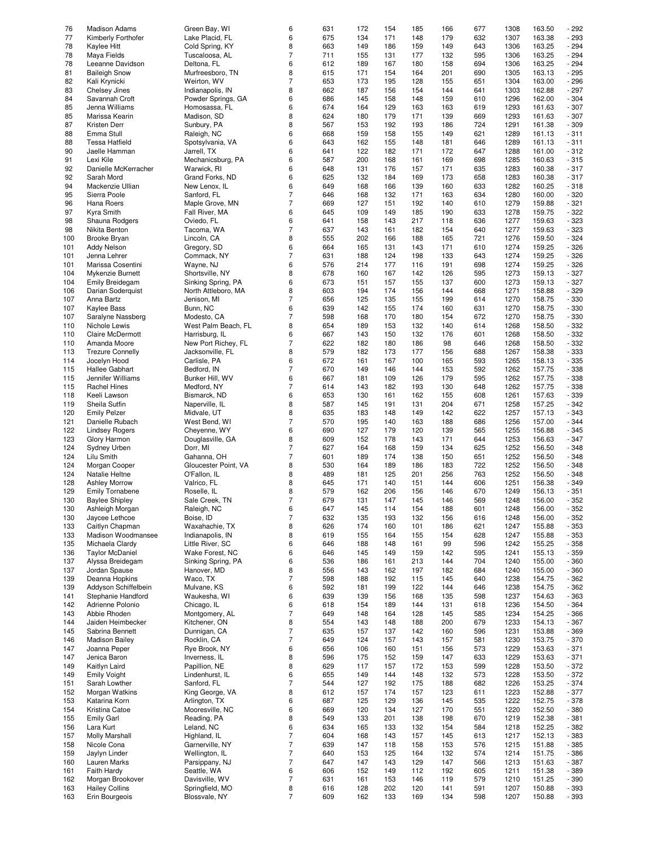| 76                | <b>Madison Adams</b>    | Green Bay, WI        | 6                | 631 | 172 | 154 | 185 | 166 | 677 | 1308 | 163.50 | $-292$ |
|-------------------|-------------------------|----------------------|------------------|-----|-----|-----|-----|-----|-----|------|--------|--------|
| 77                | Kimberly Forthofer      | Lake Placid, FL      | 6                | 675 | 134 | 171 | 148 | 179 | 632 | 1307 | 163.38 | $-293$ |
|                   |                         |                      |                  |     |     |     |     |     |     |      |        |        |
| 78                | Kaylee Hitt             | Cold Spring, KY      | 8                | 663 | 149 | 186 | 159 | 149 | 643 | 1306 | 163.25 | $-294$ |
| 78                | Maya Fields             | Tuscaloosa, AL       | $\overline{7}$   | 711 | 155 | 131 | 177 | 132 | 595 | 1306 | 163.25 | $-294$ |
| 78                | Leeanne Davidson        | Deltona, FL          | 6                | 612 | 189 | 167 | 180 | 158 | 694 | 1306 | 163.25 | $-294$ |
| 81                | <b>Baileigh Snow</b>    | Murfreesboro, TN     | 8                | 615 | 171 | 154 | 164 | 201 | 690 | 1305 | 163.13 | $-295$ |
|                   |                         |                      |                  |     |     |     |     |     |     |      |        |        |
| 82                | Kali Krynicki           | Weirton, WV          | $\overline{7}$   | 653 | 173 | 195 | 128 | 155 | 651 | 1304 | 163.00 | $-296$ |
| 83                | Chelsey Jines           | Indianapolis, IN     | 8                | 662 | 187 | 156 | 154 | 144 | 641 | 1303 | 162.88 | $-297$ |
| 84                | Savannah Croft          | Powder Springs, GA   | 6                | 686 | 145 | 158 | 148 | 159 | 610 | 1296 | 162.00 | $-304$ |
| 85                | Jenna Williams          | Homosassa, FL        | 6                | 674 | 164 | 129 | 163 | 163 | 619 | 1293 | 161.63 | $-307$ |
|                   |                         |                      |                  |     |     |     |     |     |     |      |        |        |
| 85                | Marissa Kearin          | Madison, SD          | 8                | 624 | 180 | 179 | 171 | 139 | 669 | 1293 | 161.63 | $-307$ |
| 87                | Kristen Derr            | Sunbury, PA          | 8                | 567 | 153 | 192 | 193 | 186 | 724 | 1291 | 161.38 | - 309  |
| 88                | Emma Stull              | Raleigh, NC          | 6                | 668 | 159 | 158 | 155 | 149 | 621 | 1289 | 161.13 | $-311$ |
| 88                | <b>Tessa Hatfield</b>   | Spotsylvania, VA     | 6                | 643 | 162 | 155 | 148 | 181 | 646 | 1289 | 161.13 | $-311$ |
|                   |                         |                      |                  |     |     |     |     |     |     |      |        |        |
| 90                | Jaelle Hamman           | Jarrell, TX          | 6                | 641 | 122 | 182 | 171 | 172 | 647 | 1288 | 161.00 | $-312$ |
| 91                | Lexi Kile               | Mechanicsburg, PA    | 6                | 587 | 200 | 168 | 161 | 169 | 698 | 1285 | 160.63 | $-315$ |
| 92                | Danielle McKerracher    | Warwick, RI          | 6                | 648 | 131 | 176 | 157 | 171 | 635 | 1283 | 160.38 | $-317$ |
| 92                | Sarah Mord              | Grand Forks, ND      | 6                | 625 | 132 | 184 | 169 | 173 | 658 | 1283 | 160.38 | $-317$ |
|                   |                         |                      |                  |     |     |     |     |     |     |      |        |        |
| 94                | Mackenzie Ullian        | New Lenox, IL        | 6                | 649 | 168 | 166 | 139 | 160 | 633 | 1282 | 160.25 | $-318$ |
| 95                | Sierra Poole            | Sanford, FL          | $\overline{7}$   | 646 | 168 | 132 | 171 | 163 | 634 | 1280 | 160.00 | $-320$ |
| 96                | Hana Roers              | Maple Grove, MN      | $\overline{7}$   | 669 | 127 | 151 | 192 | 140 | 610 | 1279 | 159.88 | $-321$ |
|                   |                         |                      |                  |     |     |     |     |     |     |      |        |        |
| 97                | <b>Kyra Smith</b>       | Fall River, MA       | 6                | 645 | 109 | 149 | 185 | 190 | 633 | 1278 | 159.75 | $-322$ |
| 98                | Shauna Rodgers          | Oviedo, FL           | 6                | 641 | 158 | 143 | 217 | 118 | 636 | 1277 | 159.63 | $-323$ |
| 98                | Nikita Benton           | Tacoma, WA           | $\overline{7}$   | 637 | 143 | 161 | 182 | 154 | 640 | 1277 | 159.63 | - 323  |
| 100               | Brooke Bryan            | Lincoln, CA          | 8                | 555 | 202 | 166 | 188 | 165 | 721 | 1276 | 159.50 | $-324$ |
|                   |                         |                      |                  |     |     |     |     |     |     |      |        |        |
| 101               | Addy Nelson             | Gregory, SD          | 6                | 664 | 165 | 131 | 143 | 171 | 610 | 1274 | 159.25 | $-326$ |
| 101               | Jenna Lehrer            | Commack, NY          | $\overline{7}$   | 631 | 188 | 124 | 198 | 133 | 643 | 1274 | 159.25 | $-326$ |
| 101               | Marissa Cosentini       | Wayne, NJ            | 6                | 576 | 214 | 177 | 116 | 191 | 698 | 1274 | 159.25 | $-326$ |
|                   |                         |                      |                  |     |     |     |     |     |     |      |        |        |
| 104               | Mykenzie Burnett        | Shortsville, NY      | 8                | 678 | 160 | 167 | 142 | 126 | 595 | 1273 | 159.13 | $-327$ |
| 104               | <b>Emily Breidegam</b>  | Sinking Spring, PA   | 6                | 673 | 151 | 157 | 155 | 137 | 600 | 1273 | 159.13 | $-327$ |
| 106               | Darian Soderquist       | North Attleboro, MA  | 8                | 603 | 194 | 174 | 156 | 144 | 668 | 1271 | 158.88 | $-329$ |
| 107               | Anna Bartz              | Jenison, MI          | $\overline{7}$   | 656 | 125 | 135 | 155 | 199 | 614 | 1270 | 158.75 | - 330  |
|                   |                         |                      |                  |     |     |     |     |     |     |      |        |        |
| 107               | Kaylee Bass             | Bunn, NC             | 6                | 639 | 142 | 155 | 174 | 160 | 631 | 1270 | 158.75 | - 330  |
| 107               | Saralyne Nassberg       | Modesto, CA          | $\overline{7}$   | 598 | 168 | 170 | 180 | 154 | 672 | 1270 | 158.75 | $-330$ |
| 110               | Nichole Lewis           | West Palm Beach, FL  | 8                | 654 | 189 | 153 | 132 | 140 | 614 | 1268 | 158.50 | - 332  |
| 110               | <b>Claire McDermott</b> | Harrisburg, IL       | 6                | 667 | 143 | 150 | 132 | 176 | 601 | 1268 | 158.50 | - 332  |
|                   |                         |                      |                  |     |     |     |     |     |     |      |        |        |
| 110               | Amanda Moore            | New Port Richey, FL  | $\overline{7}$   | 622 | 182 | 180 | 186 | 98  | 646 | 1268 | 158.50 | - 332  |
| 113               | <b>Trezure Connelly</b> | Jacksonville, FL     | 8                | 579 | 182 | 173 | 177 | 156 | 688 | 1267 | 158.38 | - 333  |
| 114               | Jocelyn Hood            | Carlisle, PA         | 6                | 672 | 161 | 167 | 100 | 165 | 593 | 1265 | 158.13 | $-335$ |
|                   |                         |                      | $\overline{7}$   | 670 | 149 |     |     |     | 592 | 1262 |        |        |
| 115               | Hallee Gabhart          | Bedford, IN          |                  |     |     | 146 | 144 | 153 |     |      | 157.75 | - 338  |
| 115               | Jennifer Williams       | Bunker Hill, WV      | 6                | 667 | 181 | 109 | 126 | 179 | 595 | 1262 | 157.75 | - 338  |
| 115               | <b>Rachel Hines</b>     | Medford, NY          | $\overline{7}$   | 614 | 143 | 182 | 193 | 130 | 648 | 1262 | 157.75 | $-338$ |
| 118               | Keeli Lawson            | Bismarck, ND         | 6                | 653 | 130 | 161 | 162 | 155 | 608 | 1261 | 157.63 | - 339  |
|                   |                         |                      |                  |     |     |     |     |     |     |      |        |        |
| 119               | Sheila Sutfin           | Naperville, IL       | 8                | 587 | 145 | 191 | 131 | 204 | 671 | 1258 | 157.25 | $-342$ |
| 120               | <b>Emily Pelzer</b>     | Midvale, UT          | 8                | 635 | 183 | 148 | 149 | 142 | 622 | 1257 | 157.13 | $-343$ |
| 121               | Danielle Rubach         | West Bend, WI        | $\overline{7}$   | 570 | 195 | 140 | 163 | 188 | 686 | 1256 | 157.00 | $-344$ |
|                   |                         | Cheyenne, WY         | 6                | 690 | 127 | 179 | 120 | 139 | 565 | 1255 | 156.88 | $-345$ |
| 122               | <b>Lindsey Rogers</b>   |                      |                  |     |     |     |     |     |     |      |        |        |
| 123               | Glory Harmon            | Douglasville, GA     | 8                | 609 | 152 | 178 | 143 | 171 | 644 | 1253 | 156.63 | $-347$ |
| 124               | Sydney Urben            | Dorr, MI             | $\overline{7}$   | 627 | 164 | 168 | 159 | 134 | 625 | 1252 | 156.50 | $-348$ |
| 124               | Lilu Smith              | Gahanna, OH          | $\overline{7}$   | 601 | 189 | 174 | 138 | 150 | 651 | 1252 | 156.50 | $-348$ |
|                   |                         |                      |                  |     |     |     |     |     |     |      |        |        |
| 124               | Morgan Cooper           | Gloucester Point, VA | 8                | 530 | 164 | 189 | 186 | 183 | 722 | 1252 | 156.50 | $-348$ |
| 124               | Natalie Heltne          | O'Fallon, IL         | 8                | 489 | 181 | 125 | 201 | 256 | 763 | 1252 | 156.50 | $-348$ |
| 128               | <b>Ashley Morrow</b>    | Valrico, FL          | 8                | 645 | 171 | 140 | 151 | 144 | 606 | 1251 | 156.38 | - 349  |
|                   | <b>Emily Tornabene</b>  |                      | 8                | 579 | 162 | 206 | 156 | 146 | 670 | 1249 | 156.13 |        |
| 129               |                         | Roselle, IL          |                  |     |     |     |     |     |     |      |        | $-351$ |
| 130               | <b>Baylee Shipley</b>   | Sale Creek, TN       | $\overline{7}$   | 679 | 131 | 147 | 145 | 146 | 569 | 1248 | 156.00 | $-352$ |
| 130               | Ashleigh Morgan         | Raleigh, NC          | 6                | 647 | 145 | 114 | 154 | 188 | 601 | 1248 | 156.00 | $-352$ |
| 130               | Jaycee Lethcoe          | Boise, ID            | $\overline{7}$   | 632 | 135 | 193 | 132 | 156 | 616 | 1248 | 156.00 | $-352$ |
|                   |                         |                      |                  |     |     |     |     |     |     |      |        |        |
| 133               | Caitlyn Chapman         | Waxahachie, TX       | 8                | 626 | 174 | 160 | 101 | 186 | 621 | 1247 | 155.88 | $-353$ |
| 133               | Madison Woodmansee      | Indianapolis, IN     | 8                | 619 | 155 | 164 | 155 | 154 | 628 | 1247 | 155.88 | $-353$ |
| 135               | Michaela Clardy         | Little River, SC     | 6                | 646 | 188 | 148 | 161 | 99  | 596 | 1242 | 155.25 | $-358$ |
| 136               | <b>Taylor McDaniel</b>  | Wake Forest, NC      | 6                | 646 | 145 | 149 | 159 | 142 | 595 | 1241 | 155.13 | - 359  |
|                   |                         |                      |                  |     |     |     |     |     |     |      |        |        |
| 137               | Alyssa Breidegam        | Sinking Spring, PA   | 6                | 536 | 186 | 161 | 213 | 144 | 704 | 1240 | 155.00 | $-360$ |
| 137               | Jordan Spause           | Hanover, MD          | 8                | 556 | 143 | 162 | 197 | 182 | 684 | 1240 | 155.00 | $-360$ |
| 139               | Deanna Hopkins          | Waco, TX             | $\overline{7}$   | 598 | 188 | 192 | 115 | 145 | 640 | 1238 | 154.75 | $-362$ |
| 139               | Addyson Schiffelbein    | Mulvane, KS          | 6                | 592 | 181 | 199 | 122 | 144 | 646 | 1238 | 154.75 | $-362$ |
|                   |                         |                      |                  |     |     |     |     |     |     |      |        |        |
| 141               | Stephanie Handford      | Waukesha, WI         | 6                | 639 | 139 | 156 | 168 | 135 | 598 | 1237 | 154.63 | - 363  |
| 142               | Adrienne Polonio        | Chicago, IL          | 6                | 618 | 154 | 189 | 144 | 131 | 618 | 1236 | 154.50 | $-364$ |
| 143               | Abbie Rhoden            | Montgomery, AL       | $\overline{7}$   | 649 | 148 | 164 | 128 | 145 | 585 | 1234 | 154.25 | $-366$ |
|                   |                         | Kitchener, ON        |                  |     |     |     |     |     |     |      |        |        |
| 144               | Jaiden Heimbecker       |                      | 8                | 554 | 143 | 148 | 188 | 200 | 679 | 1233 | 154.13 | $-367$ |
| 145               | Sabrina Bennett         | Dunnigan, CA         | $\overline{7}$   | 635 | 157 | 137 | 142 | 160 | 596 | 1231 | 153.88 | - 369  |
| 146               | <b>Madison Bailey</b>   | Rocklin, CA          | $\overline{7}$   | 649 | 124 | 157 | 143 | 157 | 581 | 1230 | 153.75 | $-370$ |
| 147               | Joanna Peper            | Rye Brook, NY        | 6                | 656 | 106 | 160 | 151 | 156 | 573 | 1229 | 153.63 | $-371$ |
|                   |                         |                      |                  |     |     |     |     |     |     |      |        |        |
| 147               | Jenica Baron            | Inverness, IL        | 8                | 596 | 175 | 152 | 159 | 147 | 633 | 1229 | 153.63 | $-371$ |
| 149               | Kaitlyn Laird           | Papillion, NE        | 8                | 629 | 117 | 157 | 172 | 153 | 599 | 1228 | 153.50 | $-372$ |
| 149               | <b>Emily Voight</b>     | Lindenhurst, IL      | 6                | 655 | 149 | 144 | 148 | 132 | 573 | 1228 | 153.50 | $-372$ |
| 151               |                         | Sanford, FL          | 7                | 544 | 127 | 192 | 175 |     | 682 |      | 153.25 | $-374$ |
|                   | Sarah Lowther           |                      |                  |     |     |     |     | 188 |     | 1226 |        |        |
| 152               | Morgan Watkins          | King George, VA      | 8                | 612 | 157 | 174 | 157 | 123 | 611 | 1223 | 152.88 | $-377$ |
| 153               | Katarina Korn           | Arlington, TX        | 6                | 687 | 125 | 129 | 136 | 145 | 535 | 1222 | 152.75 | $-378$ |
| 154               | Kristina Catoe          | Mooresville, NC      | 6                | 669 | 120 | 134 | 127 | 170 | 551 | 1220 | 152.50 | $-380$ |
|                   |                         |                      |                  |     |     |     |     |     |     |      |        |        |
| 155               | <b>Emily Garl</b>       | Reading, PA          | 8                | 549 | 133 | 201 | 138 | 198 | 670 | 1219 | 152.38 | $-381$ |
| 156               | Lara Kurt               | Leland, NC           | 6                | 634 | 165 | 133 | 132 | 154 | 584 | 1218 | 152.25 | $-382$ |
| 157               | Molly Marshall          | Highland, IL         | $\overline{7}$   | 604 | 168 | 143 | 157 | 145 | 613 | 1217 | 152.13 | - 383  |
| 158               | Nicole Cona             | Garnerville, NY      | $\overline{7}$   | 639 | 147 | 118 | 158 | 153 | 576 | 1215 | 151.88 | - 385  |
|                   |                         |                      |                  |     |     |     |     |     |     |      |        |        |
| 159               | Jaylyn Linder           | Wellington, IL       | $\overline{7}$   | 640 | 153 | 125 | 164 | 132 | 574 | 1214 | 151.75 | - 386  |
| 160               | Lauren Marks            | Parsippany, NJ       | $\overline{7}$   | 647 | 147 | 143 | 129 | 147 | 566 | 1213 | 151.63 | - 387  |
| 161               |                         |                      |                  |     |     | 149 |     |     |     |      | 151.38 | - 389  |
|                   |                         |                      |                  |     |     |     |     |     |     |      |        |        |
|                   | <b>Faith Hardy</b>      | Seattle, WA          | 6                | 606 | 152 |     | 112 | 192 | 605 | 1211 |        |        |
|                   | Morgan Brookover        | Davisville, WV       | $\boldsymbol{7}$ | 631 | 161 | 153 | 146 | 119 | 579 | 1210 | 151.25 | - 390  |
|                   | <b>Hailey Collins</b>   | Springfield, MO      | 8                | 616 | 128 | 202 | 120 | 141 | 591 | 1207 | 150.88 | - 393  |
| 162<br>163<br>163 | Erin Bourgeois          | Blossvale, NY        | $\overline{7}$   | 609 | 162 | 133 | 169 | 134 | 598 | 1207 | 150.88 | $-393$ |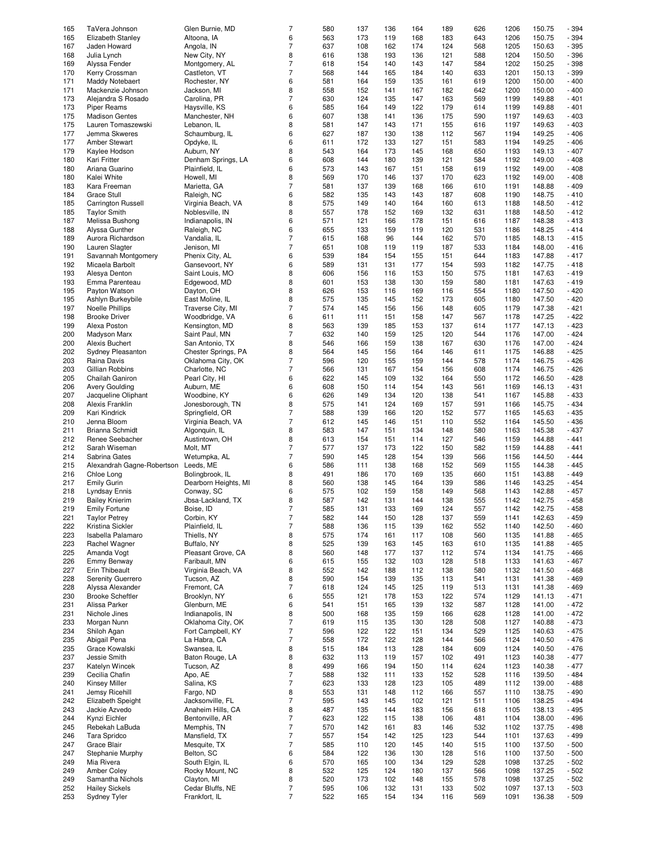| 165 | TaVera Johnson             | Glen Burnie, MD      | $\overline{7}$ | 580 | 137 | 136 | 164 | 189 | 626 | 1206 | 150.75 | $-394$ |
|-----|----------------------------|----------------------|----------------|-----|-----|-----|-----|-----|-----|------|--------|--------|
|     |                            |                      |                |     |     |     |     |     |     |      |        |        |
| 165 | Elizabeth Stanley          | Altoona, IA          | 6              | 563 | 173 | 119 | 168 | 183 | 643 | 1206 | 150.75 | - 394  |
| 167 | Jaden Howard               | Angola, IN           | $\overline{7}$ | 637 | 108 | 162 | 174 | 124 | 568 | 1205 | 150.63 | - 395  |
| 168 |                            |                      | 8              | 616 | 138 | 193 | 136 | 121 | 588 | 1204 | 150.50 | - 396  |
|     | Julia Lynch                | New City, NY         |                |     |     |     |     |     |     |      |        |        |
| 169 | Alyssa Fender              | Montgomery, AL       | $\overline{7}$ | 618 | 154 | 140 | 143 | 147 | 584 | 1202 | 150.25 | - 398  |
| 170 | Kerry Crossman             | Castleton, VT        | $\overline{7}$ | 568 | 144 | 165 | 184 | 140 | 633 | 1201 | 150.13 | - 399  |
|     |                            |                      |                |     |     |     |     |     |     |      |        |        |
| 171 | Maddy Notebaert            | Rochester, NY        | 6              | 581 | 164 | 159 | 135 | 161 | 619 | 1200 | 150.00 | $-400$ |
| 171 | Mackenzie Johnson          | Jackson, MI          | 8              | 558 | 152 | 141 | 167 | 182 | 642 | 1200 | 150.00 | $-400$ |
| 173 | Alejandra S Rosado         | Carolina, PR         | $\overline{7}$ | 630 | 124 | 135 | 147 | 163 | 569 | 1199 | 149.88 | $-401$ |
|     |                            |                      |                |     |     |     |     |     |     |      |        |        |
| 173 | <b>Piper Reams</b>         | Haysville, KS        | 6              | 585 | 164 | 149 | 122 | 179 | 614 | 1199 | 149.88 | $-401$ |
| 175 | <b>Madison Gentes</b>      | Manchester, NH       | 6              | 607 | 138 | 141 | 136 | 175 | 590 | 1197 | 149.63 | $-403$ |
|     |                            |                      |                |     |     |     |     |     |     |      |        |        |
| 175 | Lauren Tomaszewski         | Lebanon, IL          | 8              | 581 | 147 | 143 | 171 | 155 | 616 | 1197 | 149.63 | $-403$ |
| 177 | Jemma Skweres              | Schaumburg, IL       | 6              | 627 | 187 | 130 | 138 | 112 | 567 | 1194 | 149.25 | $-406$ |
| 177 | <b>Amber Stewart</b>       |                      |                | 611 |     |     |     |     |     | 1194 | 149.25 |        |
|     |                            | Opdyke, IL           | 6              |     | 172 | 133 | 127 | 151 | 583 |      |        | $-406$ |
| 179 | Kaylee Hodson              | Auburn, NY           | 8              | 543 | 164 | 173 | 145 | 168 | 650 | 1193 | 149.13 | $-407$ |
| 180 | Kari Fritter               | Denham Springs, LA   | 6              | 608 | 144 | 180 | 139 | 121 | 584 | 1192 | 149.00 | $-408$ |
|     |                            |                      |                |     |     |     |     |     |     |      |        |        |
| 180 | Ariana Guarino             | Plainfield, IL       | 6              | 573 | 143 | 167 | 151 | 158 | 619 | 1192 | 149.00 | $-408$ |
| 180 | Kalei White                | Howell, MI           | 8              | 569 | 170 | 146 | 137 | 170 | 623 | 1192 | 149.00 | $-408$ |
|     |                            |                      |                |     |     |     |     |     |     |      |        |        |
| 183 | Kara Freeman               | Marietta, GA         | $\overline{7}$ | 581 | 137 | 139 | 168 | 166 | 610 | 1191 | 148.88 | $-409$ |
| 184 | <b>Grace Stull</b>         | Raleigh, NC          | 6              | 582 | 135 | 143 | 143 | 187 | 608 | 1190 | 148.75 | $-410$ |
| 185 | <b>Carrington Russell</b>  | Virginia Beach, VA   | 8              | 575 | 149 | 140 | 164 | 160 | 613 | 1188 | 148.50 | $-412$ |
|     |                            |                      |                |     |     |     |     |     |     |      |        |        |
| 185 | <b>Taylor Smith</b>        | Noblesville, IN      | 8              | 557 | 178 | 152 | 169 | 132 | 631 | 1188 | 148.50 | $-412$ |
| 187 | Melissa Bushong            | Indianapolis, IN     | 6              | 571 | 121 | 166 | 178 | 151 | 616 | 1187 | 148.38 | $-413$ |
|     |                            |                      |                |     |     |     |     |     |     |      |        |        |
| 188 | Alyssa Gunther             | Raleigh, NC          | 6              | 655 | 133 | 159 | 119 | 120 | 531 | 1186 | 148.25 | $-414$ |
| 189 | Aurora Richardson          | Vandalia, IL         | $\overline{7}$ | 615 | 168 | 96  | 144 | 162 | 570 | 1185 | 148.13 | $-415$ |
| 190 | Lauren Slagter             | Jenison, MI          | $\overline{7}$ | 651 | 108 | 119 | 119 | 187 | 533 | 1184 | 148.00 | $-416$ |
|     |                            |                      |                |     |     |     |     |     |     |      |        |        |
| 191 | Savannah Montgomery        | Phenix City, AL      | 6              | 539 | 184 | 154 | 155 | 151 | 644 | 1183 | 147.88 | $-417$ |
| 192 | Micaela Barbolt            | Gansevoort, NY       | 6              | 589 | 131 | 131 | 177 | 154 | 593 | 1182 | 147.75 | $-418$ |
|     |                            |                      |                |     |     |     |     |     |     |      |        |        |
| 193 | Alesya Denton              | Saint Louis, MO      | 8              | 606 | 156 | 116 | 153 | 150 | 575 | 1181 | 147.63 | $-419$ |
| 193 | Emma Parenteau             | Edgewood, MD         | 8              | 601 | 153 | 138 | 130 | 159 | 580 | 1181 | 147.63 | $-419$ |
| 195 |                            |                      | 8              | 626 | 153 | 116 | 169 | 116 | 554 | 1180 | 147.50 | $-420$ |
|     | Payton Watson              | Dayton, OH           |                |     |     |     |     |     |     |      |        |        |
| 195 | Ashlyn Burkeybile          | East Moline, IL      | 8              | 575 | 135 | 145 | 152 | 173 | 605 | 1180 | 147.50 | $-420$ |
| 197 | <b>Noelle Phillips</b>     | Traverse City, MI    | $\overline{7}$ | 574 | 145 | 156 | 156 | 148 | 605 | 1179 | 147.38 | - 421  |
|     |                            |                      |                |     |     |     |     |     |     |      |        |        |
| 198 | <b>Brooke Driver</b>       | Woodbridge, VA       | 6              | 611 | 111 | 151 | 158 | 147 | 567 | 1178 | 147.25 | $-422$ |
| 199 | Alexa Poston               | Kensington, MD       | 8              | 563 | 139 | 185 | 153 | 137 | 614 | 1177 | 147.13 | - 423  |
| 200 |                            | Saint Paul, MN       | $\overline{7}$ | 632 | 140 | 159 |     | 120 | 544 | 1176 | 147.00 | $-424$ |
|     | Madyson Marx               |                      |                |     |     |     | 125 |     |     |      |        |        |
| 200 | Alexis Buchert             | San Antonio, TX      | 8              | 546 | 166 | 159 | 138 | 167 | 630 | 1176 | 147.00 | $-424$ |
| 202 | Sydney Pleasanton          | Chester Springs, PA  | 8              | 564 | 145 | 156 | 164 | 146 | 611 | 1175 | 146.88 | $-425$ |
|     |                            |                      |                |     |     |     |     |     |     |      |        |        |
| 203 | Raina Davis                | Oklahoma City, OK    | $\overline{7}$ | 596 | 120 | 155 | 159 | 144 | 578 | 1174 | 146.75 | - 426  |
| 203 | Gillian Robbins            | Charlotte, NC        | $\overline{7}$ | 566 | 131 | 167 | 154 | 156 | 608 | 1174 | 146.75 | - 426  |
|     |                            |                      |                |     |     |     |     |     |     |      |        |        |
| 205 | Chailah Ganiron            | Pearl City, HI       | 6              | 622 | 145 | 109 | 132 | 164 | 550 | 1172 | 146.50 | - 428  |
| 206 | <b>Avery Goulding</b>      | Auburn, ME           | 6              | 608 | 150 | 114 | 154 | 143 | 561 | 1169 | 146.13 | $-431$ |
| 207 | Jacqueline Oliphant        | Woodbine, KY         | 6              | 626 | 149 | 134 | 120 | 138 | 541 | 1167 | 145.88 | - 433  |
|     |                            |                      |                |     |     |     |     |     |     |      |        |        |
| 208 | Alexis Franklin            | Jonesborough, TN     | 8              | 575 | 141 | 124 | 169 | 157 | 591 | 1166 | 145.75 | $-434$ |
| 209 | Kari Kindrick              | Springfield, OR      | $\overline{7}$ | 588 | 139 | 166 | 120 | 152 | 577 | 1165 | 145.63 | $-435$ |
|     |                            |                      |                |     |     |     |     |     |     |      |        |        |
| 210 | Jenna Bloom                | Virginia Beach, VA   | $\overline{7}$ | 612 | 145 | 146 | 151 | 110 | 552 | 1164 | 145.50 | - 436  |
| 211 | Brianna Schmidt            | Algonquin, IL        | 8              | 583 | 147 | 151 | 134 | 148 | 580 | 1163 | 145.38 | $-437$ |
| 212 |                            |                      |                | 613 |     | 151 | 114 | 127 |     | 1159 | 144.88 | $-441$ |
|     | Renee Seebacher            | Austintown, OH       | 8              |     | 154 |     |     |     | 546 |      |        |        |
| 212 | Sarah Wiseman              | Molt, MT             | $\overline{7}$ | 577 | 137 | 173 | 122 | 150 | 582 | 1159 | 144.88 | $-441$ |
| 214 | Sabrina Gates              | Wetumpka, AL         | $\overline{7}$ | 590 | 145 | 128 | 154 | 139 | 566 | 1156 | 144.50 | $-444$ |
|     |                            |                      |                |     |     |     |     |     |     |      |        |        |
| 215 | Alexandrah Gagne-Robertson | Leeds, ME            | 6              | 586 | 111 | 138 | 168 | 152 | 569 | 1155 | 144.38 | $-445$ |
| 216 | Chloe Long                 | Bolingbrook, IL      | 8              | 491 | 186 | 170 | 169 | 135 | 660 | 1151 | 143.88 | $-449$ |
|     |                            |                      |                |     |     |     |     |     |     |      |        |        |
| 217 | <b>Emily Gurin</b>         | Dearborn Heights, MI | 8              | 560 | 138 | 145 | 164 | 139 | 586 | 1146 | 143.25 | $-454$ |
| 218 | Lyndsay Ennis              | Conway, SC           | 6              | 575 | 102 | 159 | 158 | 149 | 568 | 1143 | 142.88 | $-457$ |
|     |                            |                      |                |     |     |     |     |     |     |      | 142.75 |        |
| 219 | <b>Bailey Knierim</b>      | Jbsa-Lackland, TX    | 8              | 587 | 142 | 131 | 144 | 138 | 555 | 1142 |        | - 458  |
| 219 | <b>Emily Fortune</b>       | Boise, ID            | $\overline{7}$ | 585 | 131 | 133 | 169 | 124 | 557 | 1142 | 142.75 | $-458$ |
| 221 | <b>Taylor Petrey</b>       | Corbin, KY           | $\overline{7}$ | 582 | 144 | 150 | 128 | 137 | 559 | 1141 | 142.63 | - 459  |
|     |                            |                      |                |     |     |     |     |     |     |      |        |        |
| 222 | Kristina Sickler           | Plainfield, IL       | $\overline{7}$ | 588 | 136 | 115 | 139 | 162 | 552 | 1140 | 142.50 | $-460$ |
| 223 | Isabella Palamaro          | Thiells, NY          | 8              | 575 | 174 | 161 | 117 | 108 | 560 | 1135 | 141.88 | - 465  |
|     |                            |                      |                |     |     |     |     |     |     |      |        |        |
| 223 | Rachel Wagner              | Buffalo, NY          | 8              | 525 | 139 | 163 | 145 | 163 | 610 | 1135 | 141.88 | - 465  |
| 225 | Amanda Vogt                | Pleasant Grove, CA   | 8              | 560 | 148 | 177 | 137 | 112 | 574 | 1134 | 141.75 | $-466$ |
| 226 | Emmy Benway                | Faribault, MN        | 6              | 615 | 155 | 132 | 103 | 128 | 518 | 1133 | 141.63 | $-467$ |
|     |                            |                      |                |     |     |     |     |     |     |      |        |        |
| 227 | <b>Erin Thibeault</b>      | Virginia Beach, VA   | 8              | 552 | 142 | 188 | 112 | 138 | 580 | 1132 | 141.50 | $-468$ |
| 228 | Serenity Guerrero          | Tucson, AZ           | 8              | 590 | 154 | 139 | 135 | 113 | 541 | 1131 | 141.38 | - 469  |
|     |                            |                      |                |     |     |     |     |     |     |      |        |        |
| 228 | Alyssa Alexander           | Fremont, CA          | $\overline{7}$ | 618 | 124 | 145 | 125 | 119 | 513 | 1131 | 141.38 | - 469  |
| 230 | <b>Brooke Scheftler</b>    | Brooklyn, NY         | 6              | 555 | 121 | 178 | 153 | 122 | 574 | 1129 | 141.13 | - 471  |
| 231 | Alissa Parker              | Glenburn, ME         | 6              | 541 | 151 | 165 | 139 | 132 | 587 | 1128 | 141.00 | $-472$ |
|     |                            |                      |                |     |     |     |     |     |     |      |        |        |
| 231 | Nichole Jines              | Indianapolis, IN     | 8              | 500 | 168 | 135 | 159 | 166 | 628 | 1128 | 141.00 | $-472$ |
| 233 | Morgan Nunn                | Oklahoma City, OK    | $\overline{7}$ | 619 | 115 | 135 | 130 | 128 | 508 | 1127 | 140.88 | $-473$ |
| 234 | Shiloh Agan                | Fort Campbell, KY    | $\overline{7}$ | 596 | 122 |     |     | 134 |     |      |        |        |
|     |                            |                      |                |     |     | 122 | 151 |     | 529 | 1125 | 140.63 | - 475  |
| 235 | Abigail Pena               | La Habra, CA         | $\overline{7}$ | 558 | 172 | 122 | 128 | 144 | 566 | 1124 | 140.50 | - 476  |
| 235 | Grace Kowalski             | Swansea, IL          | 8              | 515 | 184 | 113 | 128 | 184 | 609 | 1124 | 140.50 | $-476$ |
|     |                            |                      |                |     |     |     |     |     |     |      |        |        |
| 237 | Jessie Smith               | Baton Rouge, LA      | 8              | 632 | 113 | 119 | 157 | 102 | 491 | 1123 | 140.38 | $-477$ |
| 237 | Katelyn Wincek             | Tucson, AZ           | 8              | 499 | 166 | 194 | 150 | 114 | 624 | 1123 | 140.38 | $-477$ |
|     |                            |                      |                |     |     |     |     |     |     |      |        |        |
| 239 | Cecilia Chafin             | Apo, AE              | $\overline{7}$ | 588 | 132 | 111 | 133 | 152 | 528 | 1116 | 139.50 | - 484  |
| 240 | <b>Kinsey Miller</b>       | Salina, KS           | $\overline{7}$ | 623 | 133 | 128 | 123 | 105 | 489 | 1112 | 139.00 | - 488  |
| 241 | Jemsy Ricehill             | Fargo, ND            | 8              | 553 | 131 | 148 | 112 | 166 | 557 | 1110 | 138.75 | - 490  |
|     |                            |                      |                |     |     |     |     |     |     |      |        |        |
| 242 | Elizabeth Speight          | Jacksonville, FL     | $\overline{7}$ | 595 | 143 | 145 | 102 | 121 | 511 | 1106 | 138.25 | - 494  |
| 243 | Jackie Azvedo              | Anaheim Hills, CA    | 8              | 487 | 135 | 144 | 183 | 156 | 618 | 1105 | 138.13 | - 495  |
|     |                            |                      |                |     |     |     |     |     |     |      |        |        |
| 244 | Kynzi Eichler              | Bentonville, AR      | $\overline{7}$ | 623 | 122 | 115 | 138 | 106 | 481 | 1104 | 138.00 | - 496  |
| 245 | Rebekah LaBuda             | Memphis, TN          | $\overline{7}$ | 570 | 142 | 161 | 83  | 146 | 532 | 1102 | 137.75 | - 498  |
| 246 | Tara Spridco               | Mansfield, TX        | $\overline{7}$ | 557 | 154 | 142 | 125 | 123 | 544 | 1101 | 137.63 | - 499  |
|     |                            |                      |                |     |     |     |     |     |     |      |        |        |
| 247 | Grace Blair                | Mesquite, TX         | $\overline{7}$ | 585 | 110 | 120 | 145 | 140 | 515 | 1100 | 137.50 | $-500$ |
| 247 | Stephanie Murphy           | Belton, SC           | 6              | 584 | 122 | 136 | 130 | 128 | 516 | 1100 | 137.50 | $-500$ |
|     |                            |                      |                |     |     |     |     |     |     |      |        |        |
| 249 | Mia Rivera                 | South Elgin, IL      | 6              | 570 | 165 | 100 | 134 | 129 | 528 | 1098 | 137.25 | $-502$ |
| 249 | <b>Amber Coley</b>         | Rocky Mount, NC      | 8              | 532 | 125 | 124 | 180 | 137 | 566 | 1098 | 137.25 | $-502$ |
|     |                            |                      |                |     |     |     |     |     |     |      |        |        |
| 249 | Samantha Nichols           | Clayton, MI          | 8              | 520 | 173 | 102 | 148 | 155 | 578 | 1098 | 137.25 | $-502$ |
| 252 | <b>Hailey Sickels</b>      | Cedar Bluffs, NE     | $\overline{7}$ | 595 | 106 | 132 | 131 | 133 | 502 | 1097 | 137.13 | $-503$ |
|     | Sydney Tyler               | Frankfort, IL        | $\overline{7}$ | 522 | 165 | 154 | 134 | 116 | 569 | 1091 |        | $-509$ |
| 253 |                            |                      |                |     |     |     |     |     |     |      | 136.38 |        |